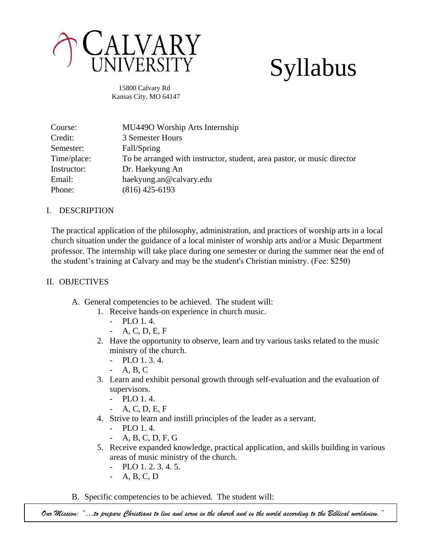

# Syllabus

 15800 Calvary Rd Kansas City, MO 64147

| Course:     | MU4490 Worship Arts Internship                                          |
|-------------|-------------------------------------------------------------------------|
| Credit:     | 3 Semester Hours                                                        |
| Semester:   | Fall/Spring                                                             |
| Time/place: | To be arranged with instructor, student, area pastor, or music director |
| Instructor: | Dr. Haekyung An                                                         |
| Email:      | haekyung.an@calvary.edu                                                 |
| Phone:      | $(816)$ 425-6193                                                        |

# I. DESCRIPTION

The practical application of the philosophy, administration, and practices of worship arts in a local church situation under the guidance of a local minister of worship arts and/or a Music Department professor. The internship will take place during one semester or during the summer near the end of the student's training at Calvary and may be the student's Christian ministry. (Fee: \$250)

# II. OBJECTIVES

- A. General competencies to be achieved. The student will:
	- 1. Receive hands-on experience in church music.
		- PLO 1. 4.
		- A, C, D, E, F
	- 2. Have the opportunity to observe, learn and try various tasks related to the music ministry of the church.
		- PLO 1. 3. 4.
		- A, B, C
	- 3. Learn and exhibit personal growth through self-evaluation and the evaluation of supervisors.
		- PLO 1. 4.
			- A, C, D, E, F
	- 4. Strive to learn and instill principles of the leader as a servant.
		- PLO 1. 4.
		- A, B, C, D, F, G
	- 5. Receive expanded knowledge, practical application, and skills building in various areas of music ministry of the church.
		- PLO 1. 2. 3. 4. 5.
		- A, B, C, D
- B. Specific competencies to be achieved. The student will:

*Our Mission: "…to prepare Christians to live and serve in the church and in the world according to the Biblical worldview."*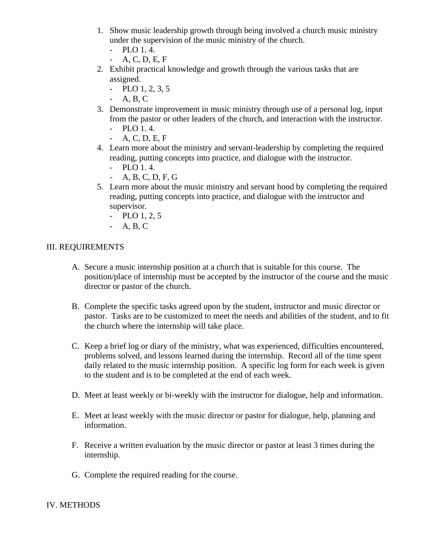- 1. Show music leadership growth through being involved a church music ministry under the supervision of the music ministry of the church.
	- PLO 1. 4.
	- A, C, D, E, F
- 2. Exhibit practical knowledge and growth through the various tasks that are assigned.
	- $-$  PLO 1, 2, 3, 5
	- A, B, C
- 3. Demonstrate improvement in music ministry through use of a personal log, input from the pastor or other leaders of the church, and interaction with the instructor.
	- PLO 1. 4.
	- A, C, D, E, F
- 4. Learn more about the ministry and servant-leadership by completing the required reading, putting concepts into practice, and dialogue with the instructor.
	- PLO 1. 4.
	- A, B, C, D, F, G
- 5. Learn more about the music ministry and servant hood by completing the required reading, putting concepts into practice, and dialogue with the instructor and supervisor.
	- PLO 1, 2, 5
	- A, B, C

## III. REQUIREMENTS

- A. Secure a music internship position at a church that is suitable for this course. The position/place of internship must be accepted by the instructor of the course and the music director or pastor of the church.
- B. Complete the specific tasks agreed upon by the student, instructor and music director or pastor. Tasks are to be customized to meet the needs and abilities of the student, and to fit the church where the internship will take place.
- C. Keep a brief log or diary of the ministry, what was experienced, difficulties encountered, problems solved, and lessons learned during the internship. Record all of the time spent daily related to the music internship position. A specific log form for each week is given to the student and is to be completed at the end of each week.
- D. Meet at least weekly or bi-weekly with the instructor for dialogue, help and information.
- E. Meet at least weekly with the music director or pastor for dialogue, help, planning and information.
- F. Receive a written evaluation by the music director or pastor at least 3 times during the internship.
- G. Complete the required reading for the course.

## IV. METHODS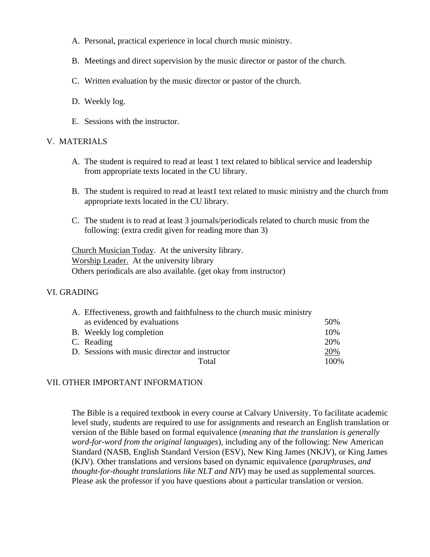- A. Personal, practical experience in local church music ministry.
- B. Meetings and direct supervision by the music director or pastor of the church.
- C. Written evaluation by the music director or pastor of the church.
- D. Weekly log.
- E. Sessions with the instructor.

#### V. MATERIALS

- A. The student is required to read at least 1 text related to biblical service and leadership from appropriate texts located in the CU library.
- B. The student is required to read at least1 text related to music ministry and the church from appropriate texts located in the CU library.
- C. The student is to read at least 3 journals/periodicals related to church music from the following: (extra credit given for reading more than 3)

Church Musician Today. At the university library. Worship Leader. At the university library Others periodicals are also available. (get okay from instructor)

#### VI. GRADING

| 50%  |
|------|
|      |
| 10%  |
| 20%  |
| 20%  |
| 100% |
|      |

#### VII. OTHER IMPORTANT INFORMATION

The Bible is a required textbook in every course at Calvary University. To facilitate academic level study, students are required to use for assignments and research an English translation or version of the Bible based on formal equivalence (*meaning that the translation is generally word-for-word from the original languages*), including any of the following: New American Standard (NASB, English Standard Version (ESV), New King James (NKJV), or King James (KJV). Other translations and versions based on dynamic equivalence (*paraphrases, and thought-for-thought translations like NLT and NIV*) may be used as supplemental sources. Please ask the professor if you have questions about a particular translation or version.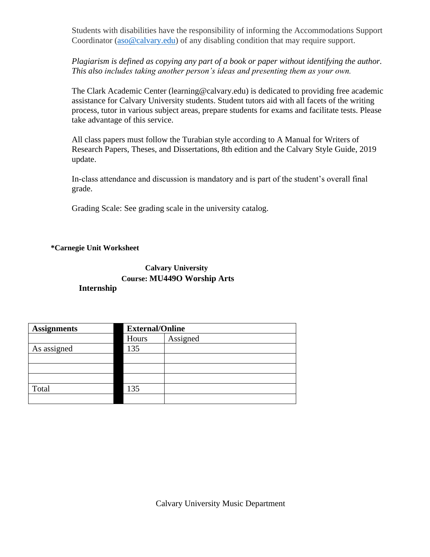Students with disabilities have the responsibility of informing the Accommodations Support Coordinator [\(aso@calvary.edu\)](mailto:aso@calvary.edu) of any disabling condition that may require support.

*Plagiarism is defined as copying any part of a book or paper without identifying the author. This also includes taking another person's ideas and presenting them as your own.*

The Clark Academic Center (learning@calvary.edu) is dedicated to providing free academic assistance for Calvary University students. Student tutors aid with all facets of the writing process, tutor in various subject areas, prepare students for exams and facilitate tests. Please take advantage of this service.

All class papers must follow the Turabian style according to A Manual for Writers of Research Papers, Theses, and Dissertations, 8th edition and the Calvary Style Guide, 2019 update.

In-class attendance and discussion is mandatory and is part of the student's overall final grade.

Grading Scale: See grading scale in the university catalog.

#### **\*Carnegie Unit Worksheet**

## **Calvary University Course: MU449O Worship Arts Internship**

| <b>Assignments</b> | <b>External/Online</b> |          |  |
|--------------------|------------------------|----------|--|
|                    | Hours                  | Assigned |  |
| As assigned        | 135                    |          |  |
|                    |                        |          |  |
|                    |                        |          |  |
|                    |                        |          |  |
| Total              | 135                    |          |  |
|                    |                        |          |  |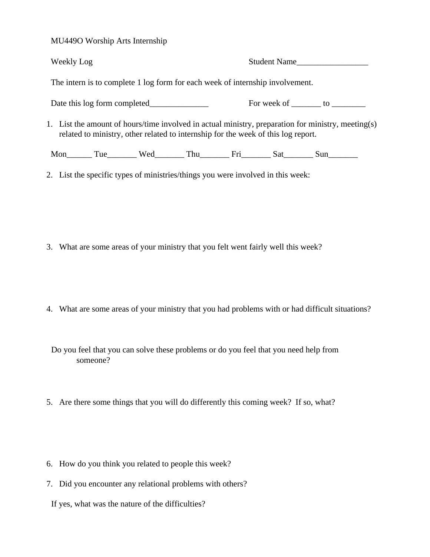MU449O Worship Arts Internship

| <b>Weekly Log</b>                                                                                                                                                                                                              |  |                                   | Student Name |  |  |  |
|--------------------------------------------------------------------------------------------------------------------------------------------------------------------------------------------------------------------------------|--|-----------------------------------|--------------|--|--|--|
| The intern is to complete 1 log form for each week of internship involvement.                                                                                                                                                  |  |                                   |              |  |  |  |
|                                                                                                                                                                                                                                |  | For week of ________ to _________ |              |  |  |  |
| 1. List the amount of hours/time involved in actual ministry, preparation for ministry, meeting(s)<br>related to ministry, other related to internship for the week of this log report.                                        |  |                                   |              |  |  |  |
| Mon Lung Tue Lung Wed Lung Thu Lung Fri Lung Sat Lung Sun Lung Tue Lung Wed Lung Thu Lung Fri Lung Sat Lung Sun Lung Tue Lung Ved Lung Thu Lung Fri Lung Sat Lung Sat Lung Sun Lung Tue Lung Ved Lung Thu Lung Fri Lung Sat Lu |  |                                   |              |  |  |  |
| 2. List the specific types of ministries/things you were involved in this week:                                                                                                                                                |  |                                   |              |  |  |  |

- 3. What are some areas of your ministry that you felt went fairly well this week?
- 4. What are some areas of your ministry that you had problems with or had difficult situations?

Do you feel that you can solve these problems or do you feel that you need help from someone?

- 5. Are there some things that you will do differently this coming week? If so, what?
- 6. How do you think you related to people this week?
- 7. Did you encounter any relational problems with others?

If yes, what was the nature of the difficulties?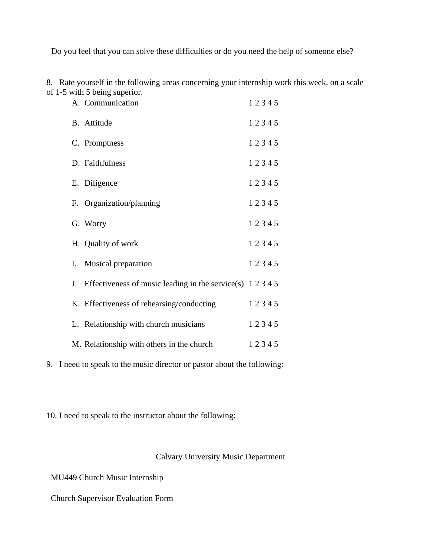Do you feel that you can solve these difficulties or do you need the help of someone else?

8. Rate yourself in the following areas concerning your internship work this week, on a scale of 1-5 with 5 being superior.

| A. Communication                                                    | 12345 |  |
|---------------------------------------------------------------------|-------|--|
| B. Attitude                                                         | 12345 |  |
| C. Promptness                                                       | 12345 |  |
| D. Faithfulness                                                     | 12345 |  |
| E. Diligence                                                        | 12345 |  |
| F. Organization/planning                                            | 12345 |  |
| G. Worry                                                            | 12345 |  |
| H. Quality of work                                                  | 12345 |  |
| I. Musical preparation                                              | 12345 |  |
| J. Effectiveness of music leading in the service(s) $1\ 2\ 3\ 4\ 5$ |       |  |
| K. Effectiveness of rehearsing/conducting                           | 12345 |  |
| L. Relationship with church musicians                               | 12345 |  |
| M. Relationship with others in the church                           | 12345 |  |

9. I need to speak to the music director or pastor about the following:

10. I need to speak to the instructor about the following:

Calvary University Music Department

MU449 Church Music Internship

Church Supervisor Evaluation Form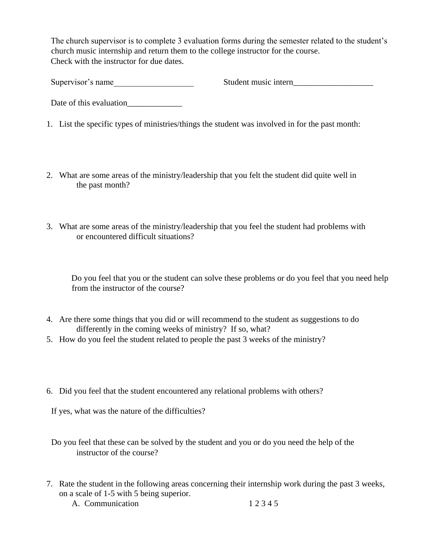The church supervisor is to complete 3 evaluation forms during the semester related to the student's church music internship and return them to the college instructor for the course. Check with the instructor for due dates.

Supervisor's name\_\_\_\_\_\_\_\_\_\_\_\_\_\_\_\_\_\_\_ Student music intern\_\_\_\_\_\_\_\_\_\_\_\_\_\_\_\_\_\_\_

Date of this evaluation\_\_\_\_\_\_\_\_\_\_\_\_\_

- 1. List the specific types of ministries/things the student was involved in for the past month:
- 2. What are some areas of the ministry/leadership that you felt the student did quite well in the past month?
- 3. What are some areas of the ministry/leadership that you feel the student had problems with or encountered difficult situations?

Do you feel that you or the student can solve these problems or do you feel that you need help from the instructor of the course?

- 4. Are there some things that you did or will recommend to the student as suggestions to do differently in the coming weeks of ministry? If so, what?
- 5. How do you feel the student related to people the past 3 weeks of the ministry?
- 6. Did you feel that the student encountered any relational problems with others?

If yes, what was the nature of the difficulties?

Do you feel that these can be solved by the student and you or do you need the help of the instructor of the course?

7. Rate the student in the following areas concerning their internship work during the past 3 weeks, on a scale of 1-5 with 5 being superior.

A. Communication 1 2 3 4 5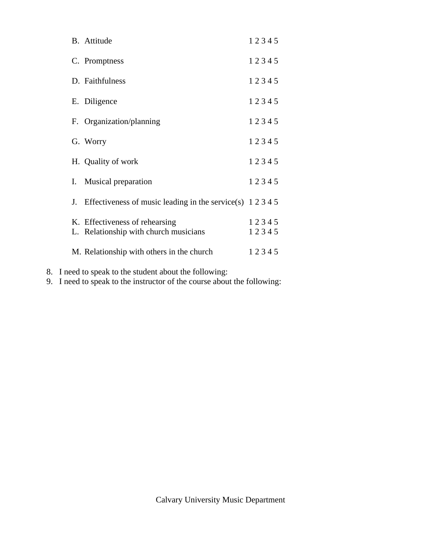| B. Attitude                                                             | 12345          |
|-------------------------------------------------------------------------|----------------|
| C. Promptness                                                           | 12345          |
| D. Faithfulness                                                         | 12345          |
| E. Diligence                                                            | 12345          |
| F. Organization/planning                                                | 12345          |
| G. Worry                                                                | 12345          |
| H. Quality of work                                                      | 12345          |
| I. Musical preparation                                                  | 12345          |
| J. Effectiveness of music leading in the service(s) $1\ 2\ 3\ 4\ 5$     |                |
| K. Effectiveness of rehearsing<br>L. Relationship with church musicians | 12345<br>12345 |
| M. Relationship with others in the church                               | 12345          |

- 8. I need to speak to the student about the following:
- 9. I need to speak to the instructor of the course about the following: